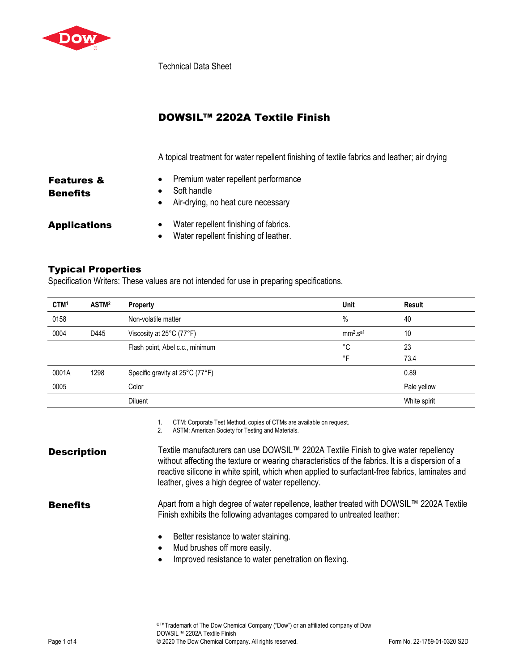

Technical Data Sheet

## DOWSIL™ 2202A Textile Finish

A topical treatment for water repellent finishing of textile fabrics and leather; air drying

| <b>Features &amp;</b> | Premium water repellent performance                                            |
|-----------------------|--------------------------------------------------------------------------------|
| <b>Benefits</b>       | Soft handle<br>Air-drying, no heat cure necessary                              |
| <b>Applications</b>   | Water repellent finishing of fabrics.<br>Water repellent finishing of leather. |

## Typical Properties

Specification Writers: These values are not intended for use in preparing specifications.

| ASTM <sup>2</sup> | <b>Property</b>                 | <b>Unit</b> | Result       |
|-------------------|---------------------------------|-------------|--------------|
|                   | Non-volatile matter             | $\%$        | 40           |
| D445              | Viscosity at 25°C (77°F)        | $mm2.Sa1$   | 10           |
|                   | Flash point, Abel c.c., minimum | °C          | 23           |
|                   |                                 | °F          | 73.4         |
| 1298              | Specific gravity at 25°C (77°F) |             | 0.89         |
|                   | Color                           |             | Pale yellow  |
|                   | <b>Diluent</b>                  |             | White spirit |
|                   |                                 |             |              |

1. CTM: Corporate Test Method, copies of CTMs are available on request.

2. ASTM: American Society for Testing and Materials.

| <b>Description</b> | Textile manufacturers can use DOWSIL™ 2202A Textile Finish to give water repellency<br>without affecting the texture or wearing characteristics of the fabrics. It is a dispersion of a<br>reactive silicone in white spirit, which when applied to surfactant-free fabrics, laminates and<br>leather, gives a high degree of water repellency. |
|--------------------|-------------------------------------------------------------------------------------------------------------------------------------------------------------------------------------------------------------------------------------------------------------------------------------------------------------------------------------------------|
| <b>Benefits</b>    | Apart from a high degree of water repellence, leather treated with DOWSIL™ 2202A Textile<br>Finish exhibits the following advantages compared to untreated leather:                                                                                                                                                                             |
|                    | Better resistance to water staining.<br>$\bullet$<br>Mud brushes off more easily.<br>$\bullet$                                                                                                                                                                                                                                                  |

• Improved resistance to water penetration on flexing.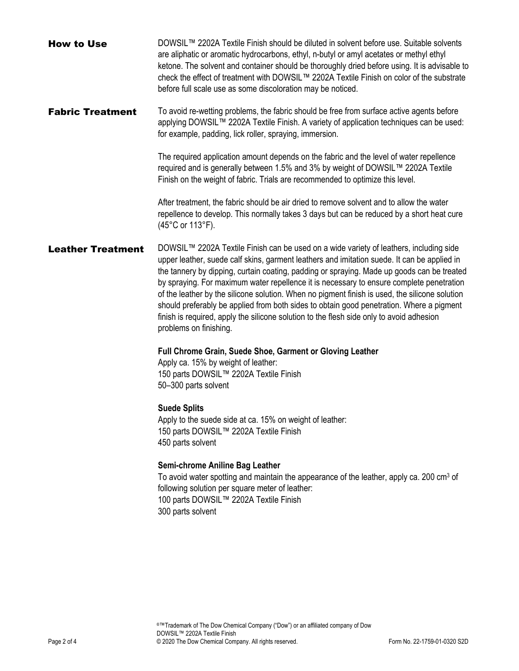| <b>How to Use</b>        | DOWSIL™ 2202A Textile Finish should be diluted in solvent before use. Suitable solvents<br>are aliphatic or aromatic hydrocarbons, ethyl, n-butyl or amyl acetates or methyl ethyl<br>ketone. The solvent and container should be thoroughly dried before using. It is advisable to<br>check the effect of treatment with DOWSIL™ 2202A Textile Finish on color of the substrate<br>before full scale use as some discoloration may be noticed.                                                                                                                                                                                                                                                     |
|--------------------------|-----------------------------------------------------------------------------------------------------------------------------------------------------------------------------------------------------------------------------------------------------------------------------------------------------------------------------------------------------------------------------------------------------------------------------------------------------------------------------------------------------------------------------------------------------------------------------------------------------------------------------------------------------------------------------------------------------|
| <b>Fabric Treatment</b>  | To avoid re-wetting problems, the fabric should be free from surface active agents before<br>applying DOWSIL™ 2202A Textile Finish. A variety of application techniques can be used:<br>for example, padding, lick roller, spraying, immersion.                                                                                                                                                                                                                                                                                                                                                                                                                                                     |
|                          | The required application amount depends on the fabric and the level of water repellence<br>required and is generally between 1.5% and 3% by weight of DOWSIL™ 2202A Textile<br>Finish on the weight of fabric. Trials are recommended to optimize this level.                                                                                                                                                                                                                                                                                                                                                                                                                                       |
|                          | After treatment, the fabric should be air dried to remove solvent and to allow the water<br>repellence to develop. This normally takes 3 days but can be reduced by a short heat cure<br>(45°C or 113°F).                                                                                                                                                                                                                                                                                                                                                                                                                                                                                           |
| <b>Leather Treatment</b> | DOWSIL™ 2202A Textile Finish can be used on a wide variety of leathers, including side<br>upper leather, suede calf skins, garment leathers and imitation suede. It can be applied in<br>the tannery by dipping, curtain coating, padding or spraying. Made up goods can be treated<br>by spraying. For maximum water repellence it is necessary to ensure complete penetration<br>of the leather by the silicone solution. When no pigment finish is used, the silicone solution<br>should preferably be applied from both sides to obtain good penetration. Where a pigment<br>finish is required, apply the silicone solution to the flesh side only to avoid adhesion<br>problems on finishing. |
|                          | Full Chrome Grain, Suede Shoe, Garment or Gloving Leather<br>Apply ca. 15% by weight of leather:<br>150 parts DOWSIL™ 2202A Textile Finish<br>50-300 parts solvent                                                                                                                                                                                                                                                                                                                                                                                                                                                                                                                                  |
|                          | <b>Suede Splits</b><br>Apply to the suede side at ca. 15% on weight of leather:<br>150 parts DOWSIL™ 2202A Textile Finish<br>450 parts solvent                                                                                                                                                                                                                                                                                                                                                                                                                                                                                                                                                      |
|                          | Semi-chrome Aniline Bag Leather<br>To avoid water spotting and maintain the appearance of the leather, apply ca. 200 cm <sup>3</sup> of<br>following solution per square meter of leather:<br>100 parts DOWSIL™ 2202A Textile Finish<br>300 parts solvent                                                                                                                                                                                                                                                                                                                                                                                                                                           |
|                          |                                                                                                                                                                                                                                                                                                                                                                                                                                                                                                                                                                                                                                                                                                     |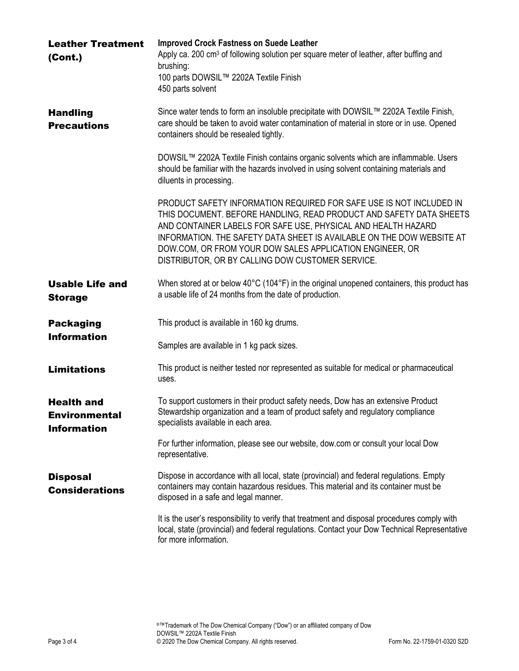| <b>Leather Treatment</b><br>(Cont.)                             | <b>Improved Crock Fastness on Suede Leather</b><br>Apply ca. 200 cm <sup>3</sup> of following solution per square meter of leather, after buffing and<br>brushing:<br>100 parts DOWSIL™ 2202A Textile Finish<br>450 parts solvent                                                                                                                                                                    |
|-----------------------------------------------------------------|------------------------------------------------------------------------------------------------------------------------------------------------------------------------------------------------------------------------------------------------------------------------------------------------------------------------------------------------------------------------------------------------------|
| <b>Handling</b><br><b>Precautions</b>                           | Since water tends to form an insoluble precipitate with DOWSIL™ 2202A Textile Finish,<br>care should be taken to avoid water contamination of material in store or in use. Opened<br>containers should be resealed tightly.                                                                                                                                                                          |
|                                                                 | DOWSIL™ 2202A Textile Finish contains organic solvents which are inflammable. Users<br>should be familiar with the hazards involved in using solvent containing materials and<br>diluents in processing.                                                                                                                                                                                             |
|                                                                 | PRODUCT SAFETY INFORMATION REQUIRED FOR SAFE USE IS NOT INCLUDED IN<br>THIS DOCUMENT. BEFORE HANDLING, READ PRODUCT AND SAFETY DATA SHEETS<br>AND CONTAINER LABELS FOR SAFE USE, PHYSICAL AND HEALTH HAZARD<br>INFORMATION. THE SAFETY DATA SHEET IS AVAILABLE ON THE DOW WEBSITE AT<br>DOW.COM, OR FROM YOUR DOW SALES APPLICATION ENGINEER, OR<br>DISTRIBUTOR, OR BY CALLING DOW CUSTOMER SERVICE. |
| <b>Usable Life and</b><br><b>Storage</b>                        | When stored at or below 40°C (104°F) in the original unopened containers, this product has<br>a usable life of 24 months from the date of production.                                                                                                                                                                                                                                                |
| <b>Packaging</b><br><b>Information</b>                          | This product is available in 160 kg drums.<br>Samples are available in 1 kg pack sizes.                                                                                                                                                                                                                                                                                                              |
| <b>Limitations</b>                                              | This product is neither tested nor represented as suitable for medical or pharmaceutical<br>uses.                                                                                                                                                                                                                                                                                                    |
| <b>Health and</b><br><b>Environmental</b><br><b>Information</b> | To support customers in their product safety needs, Dow has an extensive Product<br>Stewardship organization and a team of product safety and regulatory compliance<br>specialists available in each area.                                                                                                                                                                                           |
|                                                                 | For further information, please see our website, dow.com or consult your local Dow<br>representative.                                                                                                                                                                                                                                                                                                |
| <b>Disposal</b><br><b>Considerations</b>                        | Dispose in accordance with all local, state (provincial) and federal regulations. Empty<br>containers may contain hazardous residues. This material and its container must be<br>disposed in a safe and legal manner.                                                                                                                                                                                |
|                                                                 | It is the user's responsibility to verify that treatment and disposal procedures comply with<br>local, state (provincial) and federal regulations. Contact your Dow Technical Representative<br>for more information.                                                                                                                                                                                |